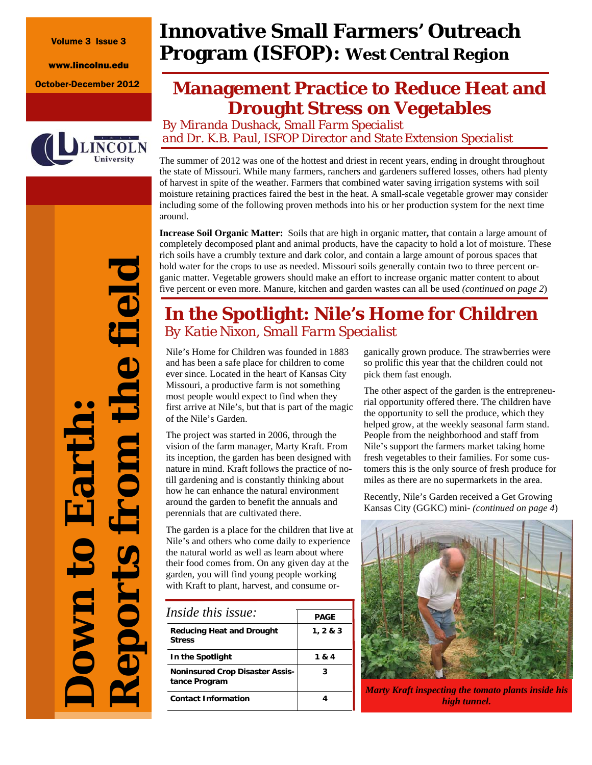Volume 3 Issue 3

www.lincolnu.edu



# **Innovative Small Farmers' Outreach Program (ISFOP): West Central Region**

# October-December 2012 **Management Practice to Reduce Heat and Drought Stress on Vegetables**

*By Miranda Dushack, Small Farm Specialist and Dr. K.B. Paul, ISFOP Director and State Extension Specialist* 

The summer of 2012 was one of the hottest and driest in recent years, ending in drought throughout the state of Missouri. While many farmers, ranchers and gardeners suffered losses, others had plenty of harvest in spite of the weather. Farmers that combined water saving irrigation systems with soil moisture retaining practices faired the best in the heat. A small-scale vegetable grower may consider including some of the following proven methods into his or her production system for the next time around.

**Increase Soil Organic Matter:** Soils that are high in organic matter**,** that contain a large amount of completely decomposed plant and animal products, have the capacity to hold a lot of moisture. These rich soils have a crumbly texture and dark color, and contain a large amount of porous spaces that hold water for the crops to use as needed. Missouri soils generally contain two to three percent organic matter. Vegetable growers should make an effort to increase organic matter content to about five percent or even more. Manure, kitchen and garden wastes can all be used *(continued on page 2*)

## **In the Spotlight: Nile's Home for Children**  *By Katie Nixon, Small Farm Specialist*

Nile's Home for Children was founded in 1883 and has been a safe place for children to come ever since. Located in the heart of Kansas City Missouri, a productive farm is not something most people would expect to find when they first arrive at Nile's, but that is part of the magic of the Nile's Garden.

The project was started in 2006, through the vision of the farm manager, Marty Kraft. From its inception, the garden has been designed with nature in mind. Kraft follows the practice of notill gardening and is constantly thinking about how he can enhance the natural environment around the garden to benefit the annuals and perennials that are cultivated there.

The garden is a place for the children that live at Nile's and others who come daily to experience the natural world as well as learn about where their food comes from. On any given day at the garden, you will find young people working with Kraft to plant, harvest, and consume or-

| <i>Inside this issue:</i>                               | <b>PAGE</b> |  |
|---------------------------------------------------------|-------------|--|
| Reducing Heat and Drought<br><b>Stress</b>              | 1, 2 & 3    |  |
| In the Spotlight                                        | 1 & 4       |  |
| <b>Noninsured Crop Disaster Assis-</b><br>tance Program | 3           |  |
| <b>Contact Information</b>                              |             |  |

ganically grown produce. The strawberries were so prolific this year that the children could not pick them fast enough.

The other aspect of the garden is the entrepreneurial opportunity offered there. The children have the opportunity to sell the produce, which they helped grow, at the weekly seasonal farm stand. People from the neighborhood and staff from Nile's support the farmers market taking home fresh vegetables to their families. For some customers this is the only source of fresh produce for miles as there are no supermarkets in the area.

Recently, Nile's Garden received a Get Growing Kansas City (GGKC) mini- *(continued on page 4*)



*Marty Kraft inspecting the tomato plants inside his high tunnel.* 

*Reports from the field*  the field **Down to Earth:**  id ports from Eart own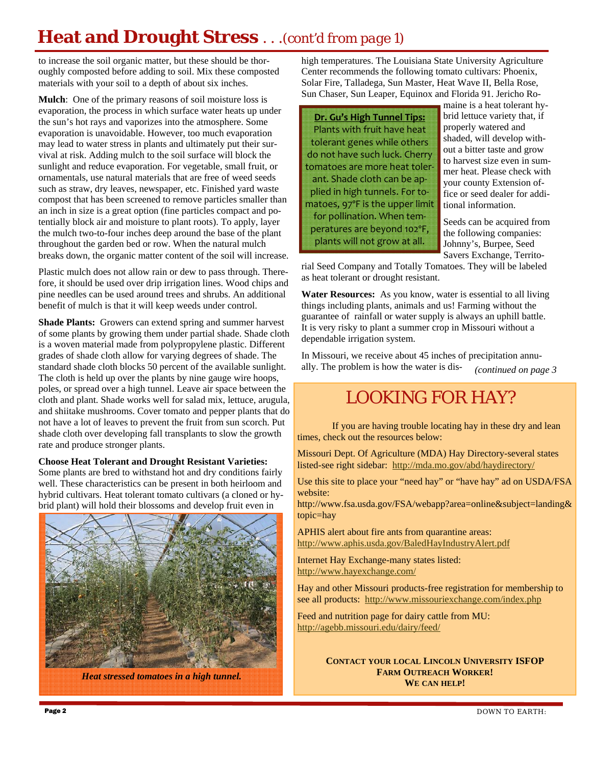# **Heat and Drought Stress** . . .*(cont'd from page 1)*

to increase the soil organic matter, but these should be thoroughly composted before adding to soil. Mix these composted materials with your soil to a depth of about six inches.

**Mulch**: One of the primary reasons of soil moisture loss is evaporation, the process in which surface water heats up under the sun's hot rays and vaporizes into the atmosphere. Some evaporation is unavoidable. However, too much evaporation may lead to water stress in plants and ultimately put their survival at risk. Adding mulch to the soil surface will block the sunlight and reduce evaporation. For vegetable, small fruit, or ornamentals, use natural materials that are free of weed seeds such as straw, dry leaves, newspaper, etc. Finished yard waste compost that has been screened to remove particles smaller than an inch in size is a great option (fine particles compact and potentially block air and moisture to plant roots). To apply, layer the mulch two-to-four inches deep around the base of the plant throughout the garden bed or row. When the natural mulch breaks down, the organic matter content of the soil will increase.

Plastic mulch does not allow rain or dew to pass through. Therefore, it should be used over drip irrigation lines. Wood chips and pine needles can be used around trees and shrubs. An additional benefit of mulch is that it will keep weeds under control.

**Shade Plants:** Growers can extend spring and summer harvest of some plants by growing them under partial shade. Shade cloth is a woven material made from polypropylene plastic. Different grades of shade cloth allow for varying degrees of shade. The standard shade cloth blocks 50 percent of the available sunlight. The cloth is held up over the plants by nine gauge wire hoops, poles, or spread over a high tunnel. Leave air space between the cloth and plant. Shade works well for salad mix, lettuce, arugula, and shiitake mushrooms. Cover tomato and pepper plants that do not have a lot of leaves to prevent the fruit from sun scorch. Put shade cloth over developing fall transplants to slow the growth rate and produce stronger plants.

#### **Choose Heat Tolerant and Drought Resistant Varieties:**

Some plants are bred to withstand hot and dry conditions fairly well. These characteristics can be present in both heirloom and hybrid cultivars. Heat tolerant tomato cultivars (a cloned or hybrid plant) will hold their blossoms and develop fruit even in



*Heat stressed tomatoes in a high tunnel.* 

high temperatures. The Louisiana State University Agriculture Center recommends the following tomato cultivars: Phoenix, Solar Fire, Talladega, Sun Master, Heat Wave II, Bella Rose, Sun Chaser, Sun Leaper, Equinox and Florida 91. Jericho Ro-



maine is a heat tolerant hybrid lettuce variety that, if properly watered and shaded, will develop without a bitter taste and grow to harvest size even in summer heat. Please check with your county Extension office or seed dealer for additional information.

Seeds can be acquired from the following companies: Johnny's, Burpee, Seed Savers Exchange, Territo-

rial Seed Company and Totally Tomatoes. They will be labeled as heat tolerant or drought resistant.

**Water Resources:** As you know, water is essential to all living things including plants, animals and us! Farming without the guarantee of rainfall or water supply is always an uphill battle. It is very risky to plant a summer crop in Missouri without a dependable irrigation system.

In Missouri, we receive about 45 inches of precipitation annually. The problem is how the water is dis-*(continued on page 3* 

## LOOKING FOR HAY?

 If you are having trouble locating hay in these dry and lean times, check out the resources below:

Missouri Dept. Of Agriculture (MDA) Hay Directory-several states listed-see right sidebar: http://mda.mo.gov/abd/haydirectory/

Use this site to place your "need hay" or "have hay" ad on USDA/FSA website:

http://www.fsa.usda.gov/FSA/webapp?area=online&subject=landing& topic=hay

APHIS alert about fire ants from quarantine areas: http://www.aphis.usda.gov/BaledHayIndustryAlert.pdf

Internet Hay Exchange-many states listed: http://www.hayexchange.com/

Hay and other Missouri products-free registration for membership to see all products: http://www.missouriexchange.com/index.php

Feed and nutrition page for dairy cattle from MU: http://agebb.missouri.edu/dairy/feed/

> **CONTACT YOUR LOCAL LINCOLN UNIVERSITY ISFOP FARM OUTREACH WORKER! WE CAN HELP!**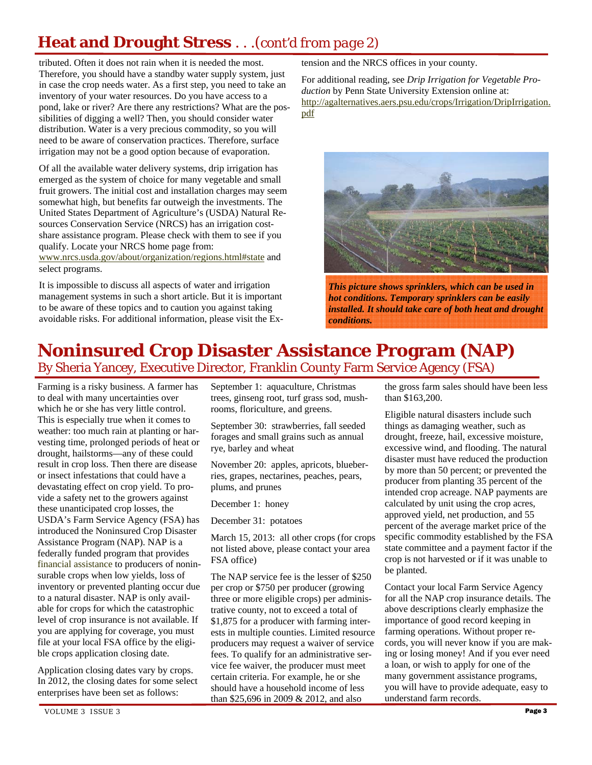## **Heat and Drought Stress** . . .*(cont'd from page 2)*

tributed. Often it does not rain when it is needed the most. Therefore, you should have a standby water supply system, just in case the crop needs water. As a first step, you need to take an inventory of your water resources. Do you have access to a pond, lake or river? Are there any restrictions? What are the possibilities of digging a well? Then, you should consider water distribution. Water is a very precious commodity, so you will need to be aware of conservation practices. Therefore, surface irrigation may not be a good option because of evaporation.

Of all the available water delivery systems, drip irrigation has emerged as the system of choice for many vegetable and small fruit growers. The initial cost and installation charges may seem somewhat high, but benefits far outweigh the investments. The United States Department of Agriculture's (USDA) Natural Resources Conservation Service (NRCS) has an irrigation costshare assistance program. Please check with them to see if you qualify. Locate your NRCS home page from:

www.nrcs.usda.gov/about/organization/regions.html#state and select programs.

It is impossible to discuss all aspects of water and irrigation management systems in such a short article. But it is important to be aware of these topics and to caution you against taking avoidable risks. For additional information, please visit the Extension and the NRCS offices in your county.

For additional reading, see *Drip Irrigation for Vegetable Production* by Penn State University Extension online at: http://agalternatives.aers.psu.edu/crops/Irrigation/DripIrrigation. pdf



*This picture shows sprinklers, which can be used in hot conditions. Temporary sprinklers can be easily installed. It should take care of both heat and drought conditions.* 

## **Noninsured Crop Disaster Assistance Program (NAP)**  By Sheria Yancey, Executive Director, Franklin County Farm Service Agency (FSA)

Farming is a risky business. A farmer has to deal with many uncertainties over which he or she has very little control. This is especially true when it comes to weather: too much rain at planting or harvesting time, prolonged periods of heat or drought, hailstorms—any of these could result in crop loss. Then there are disease or insect infestations that could have a devastating effect on crop yield. To provide a safety net to the growers against these unanticipated crop losses, the USDA's Farm Service Agency (FSA) has introduced the Noninsured Crop Disaster Assistance Program (NAP). NAP is a federally funded program that provides financial assistance to producers of noninsurable crops when low yields, loss of inventory or prevented planting occur due to a natural disaster. NAP is only available for crops for which the catastrophic level of crop insurance is not available. If you are applying for coverage, you must file at your local FSA office by the eligible crops application closing date.

Application closing dates vary by crops. In 2012, the closing dates for some select enterprises have been set as follows:

September 1: aquaculture, Christmas trees, ginseng root, turf grass sod, mushrooms, floriculture, and greens.

September 30: strawberries, fall seeded forages and small grains such as annual rye, barley and wheat

November 20: apples, apricots, blueberries, grapes, nectarines, peaches, pears, plums, and prunes

December 1: honey

December 31: potatoes

March 15, 2013: all other crops (for crops not listed above, please contact your area FSA office)

The NAP service fee is the lesser of \$250 per crop or \$750 per producer (growing three or more eligible crops) per administrative county, not to exceed a total of \$1,875 for a producer with farming interests in multiple counties. Limited resource producers may request a waiver of service fees. To qualify for an administrative service fee waiver, the producer must meet certain criteria. For example, he or she should have a household income of less than \$25,696 in 2009 & 2012, and also

the gross farm sales should have been less than \$163,200.

Eligible natural disasters include such things as damaging weather, such as drought, freeze, hail, excessive moisture, excessive wind, and flooding. The natural disaster must have reduced the production by more than 50 percent; or prevented the producer from planting 35 percent of the intended crop acreage. NAP payments are calculated by unit using the crop acres, approved yield, net production, and 55 percent of the average market price of the specific commodity established by the FSA state committee and a payment factor if the crop is not harvested or if it was unable to be planted.

Contact your local Farm Service Agency for all the NAP crop insurance details. The above descriptions clearly emphasize the importance of good record keeping in farming operations. Without proper records, you will never know if you are making or losing money! And if you ever need a loan, or wish to apply for one of the many government assistance programs, you will have to provide adequate, easy to understand farm records.